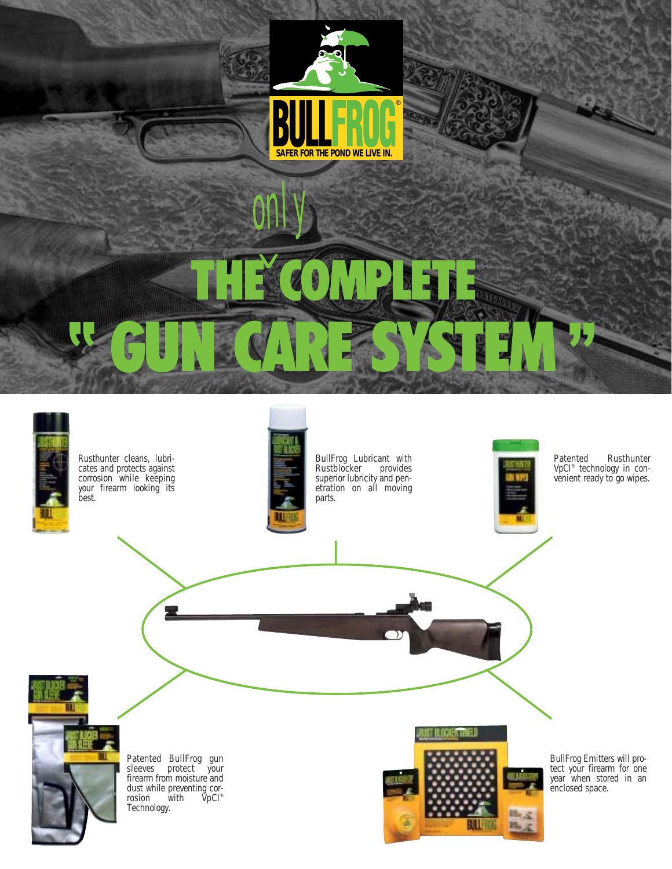